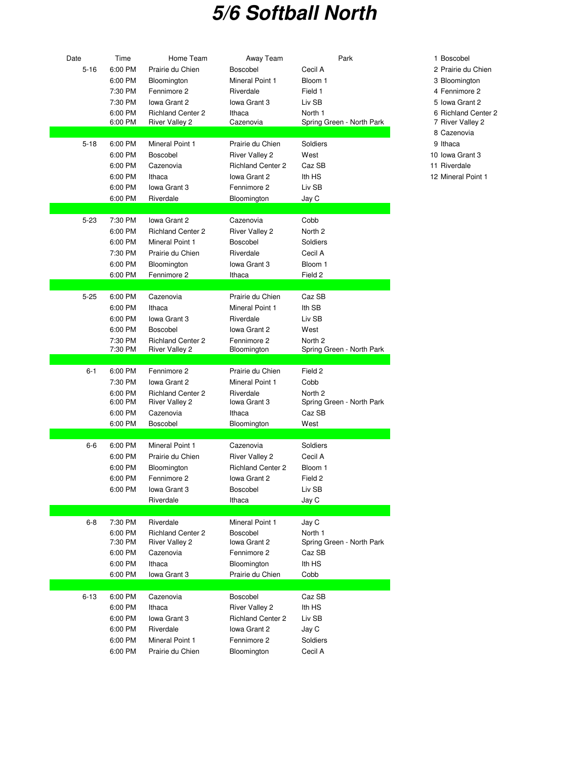## **5/6 Softball North**

| Date     | Time               | Home Team                                         | Away Team                | Park                                 | 1 Boscobel   |
|----------|--------------------|---------------------------------------------------|--------------------------|--------------------------------------|--------------|
| $5 - 16$ | 6:00 PM            | Prairie du Chien                                  | Boscobel                 | Cecil A                              | 2 Prairie du |
|          | 6:00 PM            | Bloomington                                       | Mineral Point 1          | Bloom 1                              | 3 Blooming   |
|          | 7:30 PM            | Fennimore 2                                       | Riverdale                | Field 1                              | 4 Fennimor   |
|          | 7:30 PM            | Iowa Grant 2                                      | Iowa Grant 3             | Liv SB                               | 5 Iowa Gra   |
|          | 6:00 PM            | <b>Richland Center 2</b>                          | Ithaca                   | North 1                              | 6 Richland   |
|          | 6:00 PM            | <b>River Valley 2</b>                             | Cazenovia                | Spring Green - North Park            | 7 River Val  |
|          |                    |                                                   |                          |                                      | 8 Cazenovi   |
| $5 - 18$ | 6:00 PM            | Mineral Point 1                                   | Prairie du Chien         | Soldiers                             | 9 Ithaca     |
|          | 6:00 PM            | Boscobel                                          | <b>River Valley 2</b>    | West                                 | 10 Iowa Gra  |
|          | 6:00 PM            | Cazenovia                                         | <b>Richland Center 2</b> | Caz SB                               | 11 Riverdale |
|          | 6:00 PM            | Ithaca                                            | Iowa Grant 2             | Ith HS                               | 12 Mineral P |
|          | 6:00 PM            | lowa Grant 3                                      | Fennimore 2              | Liv SB                               |              |
|          | 6:00 PM            | Riverdale                                         | Bloomington              | Jay C                                |              |
|          |                    |                                                   |                          |                                      |              |
| $5 - 23$ | 7:30 PM            | Iowa Grant 2                                      | Cazenovia                | Cobb                                 |              |
|          | 6:00 PM            | <b>Richland Center 2</b>                          | <b>River Valley 2</b>    | North 2                              |              |
|          | 6:00 PM            | Mineral Point 1                                   | <b>Boscobel</b>          | Soldiers                             |              |
|          | 7:30 PM            | Prairie du Chien                                  | Riverdale                | Cecil A                              |              |
|          | 6:00 PM            | Bloomington                                       | Iowa Grant 3             | Bloom 1                              |              |
|          | 6:00 PM            | Fennimore 2                                       | Ithaca                   | Field 2                              |              |
|          |                    |                                                   |                          |                                      |              |
| $5 - 25$ | 6:00 PM            | Cazenovia                                         | Prairie du Chien         | Caz SB                               |              |
|          | 6:00 PM            | Ithaca                                            | Mineral Point 1          | Ith SB                               |              |
|          | 6:00 PM            | lowa Grant 3                                      | Riverdale                | Liv SB                               |              |
|          | 6:00 PM            | Boscobel                                          | Iowa Grant 2             | West                                 |              |
|          | 7:30 PM            | <b>Richland Center 2</b>                          | Fennimore 2              | North <sub>2</sub>                   |              |
|          | 7:30 PM            | River Valley 2                                    | Bloomington              | Spring Green - North Park            |              |
| $6 - 1$  | 6:00 PM            | Fennimore 2                                       | Prairie du Chien         | Field 2                              |              |
|          | 7:30 PM            | Iowa Grant 2                                      | Mineral Point 1          | Cobb                                 |              |
|          | 6:00 PM            | <b>Richland Center 2</b>                          | Riverdale                | North 2                              |              |
|          | 6:00 PM            | <b>River Valley 2</b>                             | Iowa Grant 3             | Spring Green - North Park            |              |
|          | 6:00 PM            | Cazenovia                                         | Ithaca                   | Caz SB                               |              |
|          | 6:00 PM            | Boscobel                                          | Bloomington              | West                                 |              |
|          |                    |                                                   |                          |                                      |              |
| $6-6$    | 6:00 PM            | <b>Mineral Point 1</b>                            | Cazenovia                | Soldiers                             |              |
|          | 6:00 PM            | Prairie du Chien                                  | <b>River Valley 2</b>    | Cecil A                              |              |
|          | 6:00 PM            | Bloomington                                       | <b>Richland Center 2</b> | Bloom 1                              |              |
|          | 6:00 PM            | Fennimore 2                                       | Iowa Grant 2             | Field 2                              |              |
|          | 6:00 PM            | Iowa Grant 3                                      | <b>Boscobel</b>          | Liv SB                               |              |
|          |                    | Riverdale                                         | Ithaca                   | Jay C                                |              |
|          |                    |                                                   |                          |                                      |              |
| 6-8      | 7:30 PM            | Riverdale                                         | Mineral Point 1          | Jay C                                |              |
|          | 6:00 PM<br>7:30 PM | <b>Richland Center 2</b><br><b>River Valley 2</b> | Boscobel<br>Iowa Grant 2 | North 1<br>Spring Green - North Park |              |
|          | 6:00 PM            | Cazenovia                                         | Fennimore 2              | Caz SB                               |              |
|          | 6:00 PM            | Ithaca                                            | Bloomington              | Ith HS                               |              |
|          | 6:00 PM            | Iowa Grant 3                                      | Prairie du Chien         | Cobb                                 |              |
|          |                    |                                                   |                          |                                      |              |
| $6 - 13$ | 6:00 PM            | Cazenovia                                         | Boscobel                 | Caz SB                               |              |
|          | 6:00 PM            | Ithaca                                            | <b>River Valley 2</b>    | Ith HS                               |              |
|          | 6:00 PM            | Iowa Grant 3                                      | <b>Richland Center 2</b> | Liv SB                               |              |
|          | 6:00 PM            | Riverdale                                         | lowa Grant 2             | Jay C                                |              |
|          | 6:00 PM            | Mineral Point 1                                   | Fennimore 2              | Soldiers                             |              |
|          | 6:00 PM            | Prairie du Chien                                  | Bloomington              | Cecil A                              |              |

2 Prairie du Chien 3 Bloomington 4 Fennimore 2 5 Iowa Grant 2 6 Richland Center 2 7 River Valley 2 8 Cazenovia 10 Iowa Grant 3 11 Riverdale

12 Mineral Point 1